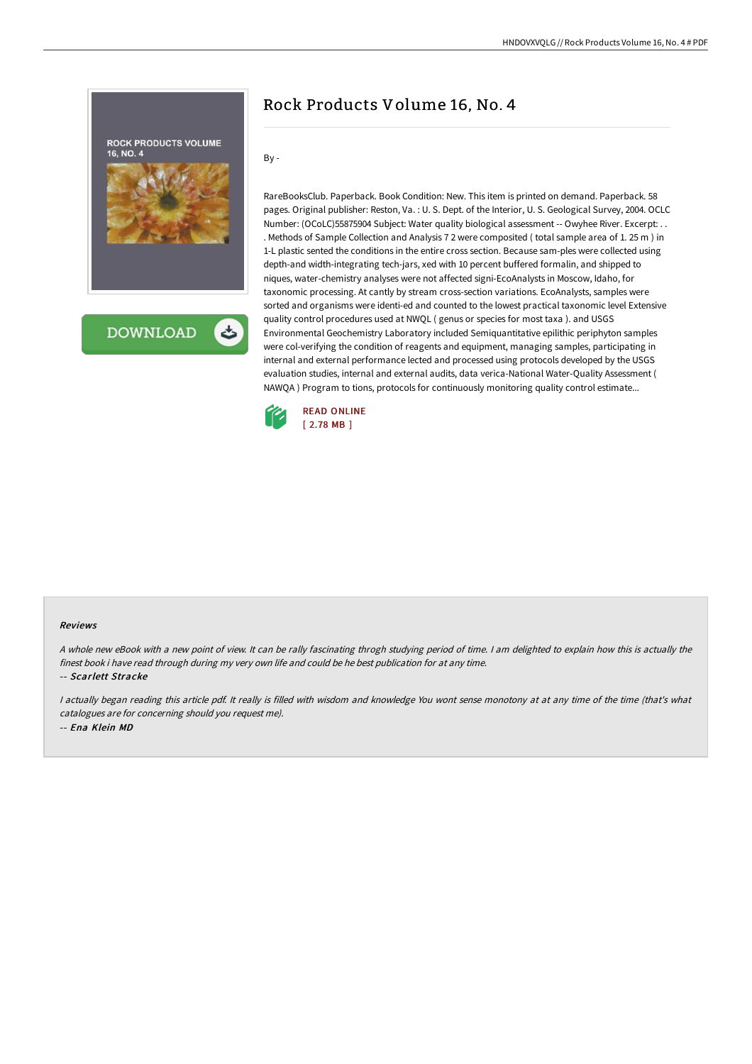

**DOWNLOAD** 

# Rock Products Volume 16, No. 4

By -

RareBooksClub. Paperback. Book Condition: New. This item is printed on demand. Paperback. 58 pages. Original publisher: Reston, Va. : U. S. Dept. of the Interior, U. S. Geological Survey, 2004. OCLC Number: (OCoLC)55875904 Subject: Water quality biological assessment -- Owyhee River. Excerpt: . . . Methods of Sample Collection and Analysis 7 2 were composited ( total sample area of 1. 25 m ) in 1-L plastic sented the conditions in the entire cross section. Because sam-ples were collected using depth-and width-integrating tech-jars, xed with 10 percent buffered formalin, and shipped to niques, water-chemistry analyses were not affected signi-EcoAnalysts in Moscow, Idaho, for taxonomic processing. At cantly by stream cross-section variations. EcoAnalysts, samples were sorted and organisms were identi-ed and counted to the lowest practical taxonomic level Extensive quality control procedures used at NWQL ( genus or species for most taxa ). and USGS Environmental Geochemistry Laboratory included Semiquantitative epilithic periphyton samples were col-verifying the condition of reagents and equipment, managing samples, participating in internal and external performance lected and processed using protocols developed by the USGS evaluation studies, internal and external audits, data verica-National Water-Quality Assessment ( NAWQA ) Program to tions, protocols for continuously monitoring quality control estimate...



#### Reviews

<sup>A</sup> whole new eBook with <sup>a</sup> new point of view. It can be rally fascinating throgh studying period of time. <sup>I</sup> am delighted to explain how this is actually the finest book i have read through during my very own life and could be he best publication for at any time.

-- Scarlett Stracke

<sup>I</sup> actually began reading this article pdf. It really is filled with wisdom and knowledge You wont sense monotony at at any time of the time (that's what catalogues are for concerning should you request me). -- Ena Klein MD